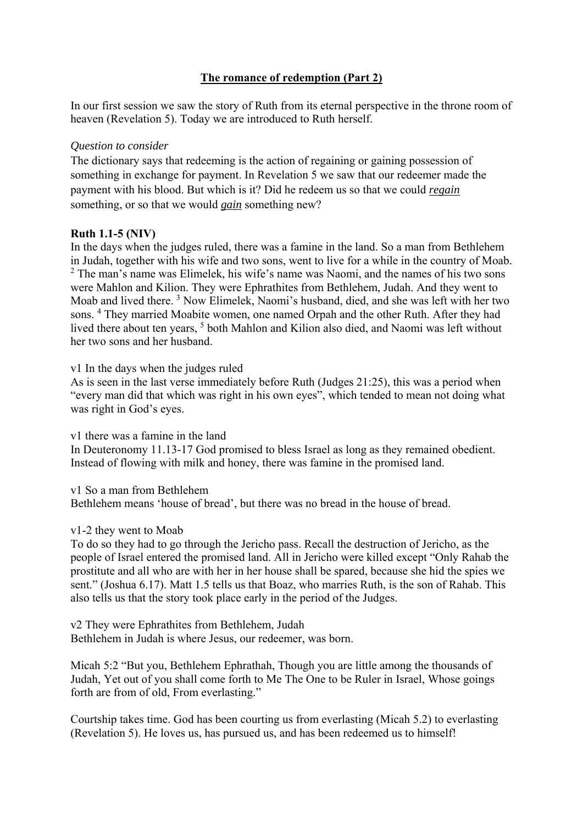# **The romance of redemption (Part 2)**

In our first session we saw the story of Ruth from its eternal perspective in the throne room of heaven (Revelation 5). Today we are introduced to Ruth herself.

## *Question to consider*

The dictionary says that redeeming is the action of regaining or gaining possession of something in exchange for payment. In Revelation 5 we saw that our redeemer made the payment with his blood. But which is it? Did he redeem us so that we could *regain* something, or so that we would *gain* something new?

## **Ruth 1.1-5 (NIV)**

In the days when the judges ruled, there was a famine in the land. So a man from Bethlehem in Judah, together with his wife and two sons, went to live for a while in the country of Moab.  $2$  The man's name was Elimelek, his wife's name was Naomi, and the names of his two sons were Mahlon and Kilion. They were Ephrathites from Bethlehem, Judah. And they went to Moab and lived there.<sup>3</sup> Now Elimelek, Naomi's husband, died, and she was left with her two sons. <sup>4</sup> They married Moabite women, one named Orpah and the other Ruth. After they had lived there about ten years, <sup>5</sup> both Mahlon and Kilion also died, and Naomi was left without her two sons and her husband.

#### v1 In the days when the judges ruled

As is seen in the last verse immediately before Ruth (Judges 21:25), this was a period when "every man did that which was right in his own eyes", which tended to mean not doing what was right in God's eyes.

v1 there was a famine in the land In Deuteronomy 11.13-17 God promised to bless Israel as long as they remained obedient. Instead of flowing with milk and honey, there was famine in the promised land.

v1 So a man from Bethlehem

Bethlehem means 'house of bread', but there was no bread in the house of bread.

## v1-2 they went to Moab

To do so they had to go through the Jericho pass. Recall the destruction of Jericho, as the people of Israel entered the promised land. All in Jericho were killed except "Only Rahab the prostitute and all who are with her in her house shall be spared, because she hid the spies we sent." (Joshua 6.17). Matt 1.5 tells us that Boaz, who marries Ruth, is the son of Rahab. This also tells us that the story took place early in the period of the Judges.

v2 They were Ephrathites from Bethlehem, Judah Bethlehem in Judah is where Jesus, our redeemer, was born.

Micah 5:2 "But you, Bethlehem Ephrathah, Though you are little among the thousands of Judah, Yet out of you shall come forth to Me The One to be Ruler in Israel, Whose goings forth are from of old, From everlasting."

Courtship takes time. God has been courting us from everlasting (Micah 5.2) to everlasting (Revelation 5). He loves us, has pursued us, and has been redeemed us to himself!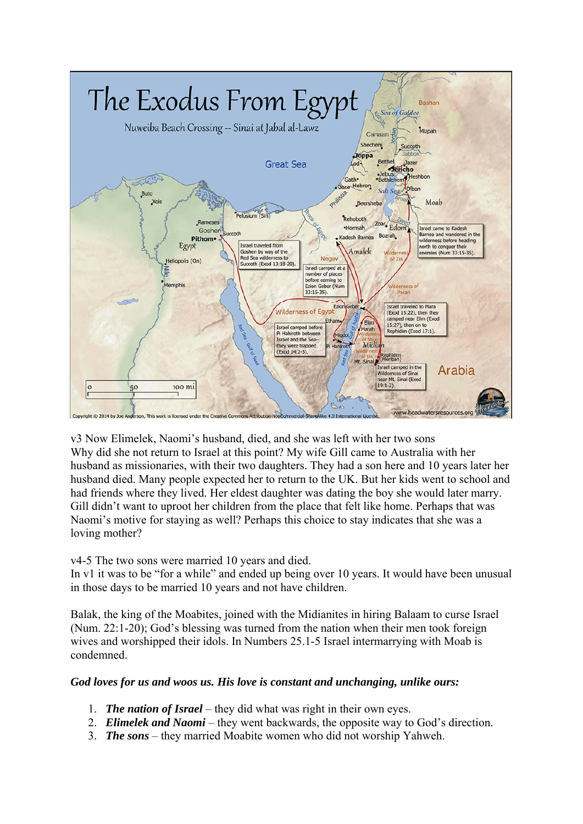

v3 Now Elimelek, Naomi's husband, died, and she was left with her two sons Why did she not return to Israel at this point? My wife Gill came to Australia with her husband as missionaries, with their two daughters. They had a son here and 10 years later her husband died. Many people expected her to return to the UK. But her kids went to school and had friends where they lived. Her eldest daughter was dating the boy she would later marry. Gill didn't want to uproot her children from the place that felt like home. Perhaps that was Naomi's motive for staying as well? Perhaps this choice to stay indicates that she was a loving mother?

v4-5 The two sons were married 10 years and died.

In v1 it was to be "for a while" and ended up being over 10 years. It would have been unusual in those days to be married 10 years and not have children.

Balak, the king of the Moabites, joined with the Midianites in hiring Balaam to curse Israel (Num. 22:1-20); God's blessing was turned from the nation when their men took foreign wives and worshipped their idols. In Numbers 25.1-5 Israel intermarrying with Moab is condemned.

## *God loves for us and woos us. His love is constant and unchanging, unlike ours:*

- 1. *The nation of Israel* they did what was right in their own eyes.
- 2. *Elimelek and Naomi* they went backwards, the opposite way to God's direction.
- 3. *The sons* they married Moabite women who did not worship Yahweh.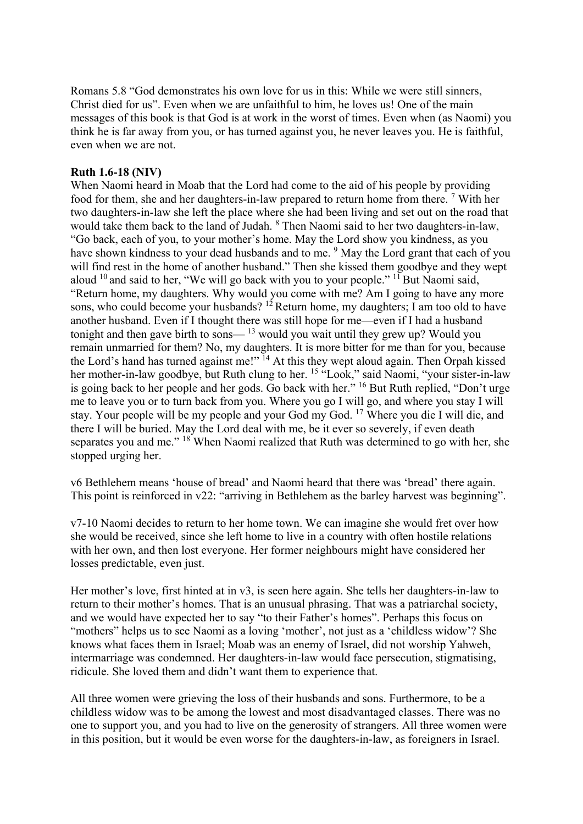Romans 5.8 "God demonstrates his own love for us in this: While we were still sinners, Christ died for us". Even when we are unfaithful to him, he loves us! One of the main messages of this book is that God is at work in the worst of times. Even when (as Naomi) you think he is far away from you, or has turned against you, he never leaves you. He is faithful, even when we are not.

### **Ruth 1.6-18 (NIV)**

When Naomi heard in Moab that the Lord had come to the aid of his people by providing food for them, she and her daughters-in-law prepared to return home from there.<sup>7</sup> With her two daughters-in-law she left the place where she had been living and set out on the road that would take them back to the land of Judah. <sup>8</sup> Then Naomi said to her two daughters-in-law, "Go back, each of you, to your mother's home. May the Lord show you kindness, as you have shown kindness to your dead husbands and to me. <sup>9</sup> May the Lord grant that each of you will find rest in the home of another husband." Then she kissed them goodbye and they wept aloud  $10$  and said to her, "We will go back with you to your people."  $11$  But Naomi said, "Return home, my daughters. Why would you come with me? Am I going to have any more sons, who could become your husbands?  $1^2$  Return home, my daughters; I am too old to have another husband. Even if I thought there was still hope for me—even if I had a husband tonight and then gave birth to sons— $13$  would you wait until they grew up? Would you remain unmarried for them? No, my daughters. It is more bitter for me than for you, because the Lord's hand has turned against me!" <sup>14</sup> At this they wept aloud again. Then Orpah kissed her mother-in-law goodbye, but Ruth clung to her. <sup>15</sup> "Look," said Naomi, "your sister-in-law is going back to her people and her gods. Go back with her." <sup>16</sup> But Ruth replied, "Don't urge me to leave you or to turn back from you. Where you go I will go, and where you stay I will stay. Your people will be my people and your God my God. 17 Where you die I will die, and there I will be buried. May the Lord deal with me, be it ever so severely, if even death separates you and me." <sup>18</sup> When Naomi realized that Ruth was determined to go with her, she stopped urging her.

v6 Bethlehem means 'house of bread' and Naomi heard that there was 'bread' there again. This point is reinforced in v22: "arriving in Bethlehem as the barley harvest was beginning".

v7-10 Naomi decides to return to her home town. We can imagine she would fret over how she would be received, since she left home to live in a country with often hostile relations with her own, and then lost everyone. Her former neighbours might have considered her losses predictable, even just.

Her mother's love, first hinted at in v3, is seen here again. She tells her daughters-in-law to return to their mother's homes. That is an unusual phrasing. That was a patriarchal society, and we would have expected her to say "to their Father's homes". Perhaps this focus on "mothers" helps us to see Naomi as a loving 'mother', not just as a 'childless widow'? She knows what faces them in Israel; Moab was an enemy of Israel, did not worship Yahweh, intermarriage was condemned. Her daughters-in-law would face persecution, stigmatising, ridicule. She loved them and didn't want them to experience that.

All three women were grieving the loss of their husbands and sons. Furthermore, to be a childless widow was to be among the lowest and most disadvantaged classes. There was no one to support you, and you had to live on the generosity of strangers. All three women were in this position, but it would be even worse for the daughters-in-law, as foreigners in Israel.